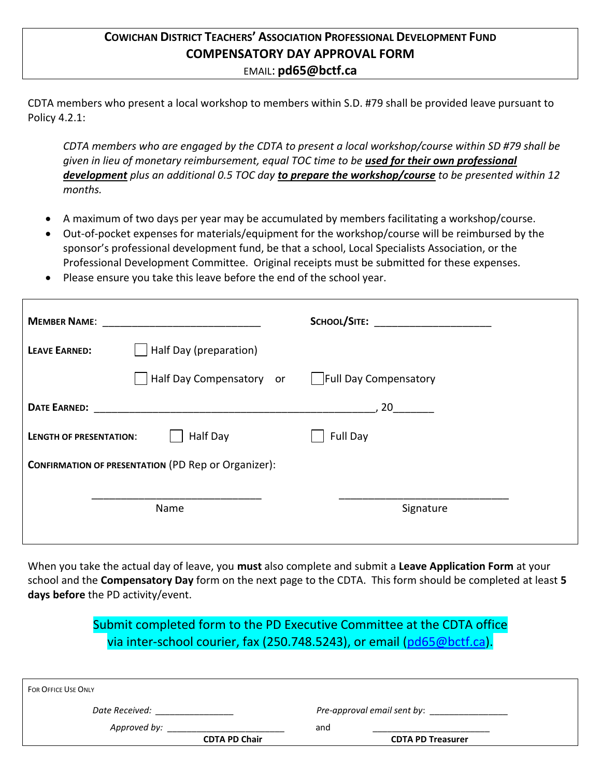### **COWICHAN DISTRICT TEACHERS' ASSOCIATION PROFESSIONAL DEVELOPMENT FUND COMPENSATORY DAY APPROVAL FORM** EMAIL: **pd65@bctf.ca**

CDTA members who present a local workshop to members within S.D. #79 shall be provided leave pursuant to Policy 4.2.1:

*CDTA members who are engaged by the CDTA to present a local workshop/course within SD #79 shall be given in lieu of monetary reimbursement, equal TOC time to be used for their own professional development plus an additional 0.5 TOC day to prepare the workshop/course to be presented within 12 months.* 

- A maximum of two days per year may be accumulated by members facilitating a workshop/course.
- Out-of-pocket expenses for materials/equipment for the workshop/course will be reimbursed by the sponsor's professional development fund, be that a school, Local Specialists Association, or the Professional Development Committee. Original receipts must be submitted for these expenses.
- Please ensure you take this leave before the end of the school year.

| <b>MEMBER NAME:</b>                                        |                                                                                                                                                                                                                                | SCHOOL/SITE: The contract of the contract of the contract of the contract of the contract of the contract of the contract of the contract of the contract of the contract of the contract of the contract of the contract of t |
|------------------------------------------------------------|--------------------------------------------------------------------------------------------------------------------------------------------------------------------------------------------------------------------------------|--------------------------------------------------------------------------------------------------------------------------------------------------------------------------------------------------------------------------------|
| <b>LEAVE EARNED:</b>                                       | Half Day (preparation)                                                                                                                                                                                                         |                                                                                                                                                                                                                                |
|                                                            | Half Day Compensatory or   Full Day Compensatory                                                                                                                                                                               |                                                                                                                                                                                                                                |
|                                                            | DATE EARNED: The Contract of the Contract of the Contract of the Contract of the Contract of the Contract of the Contract of the Contract of the Contract of the Contract of the Contract of the Contract of the Contract of t | .20                                                                                                                                                                                                                            |
| <b>LENGTH OF PRESENTATION:</b>                             | Half Day                                                                                                                                                                                                                       | Full Day                                                                                                                                                                                                                       |
| <b>CONFIRMATION OF PRESENTATION (PD Rep or Organizer):</b> |                                                                                                                                                                                                                                |                                                                                                                                                                                                                                |
|                                                            | Name                                                                                                                                                                                                                           | Signature                                                                                                                                                                                                                      |

When you take the actual day of leave, you **must** also complete and submit a **Leave Application Form** at your school and the **Compensatory Day** form on the next page to the CDTA. This form should be completed at least **5 days before** the PD activity/event.

> Submit completed form to the PD Executive Committee at the CDTA office via inter-school courier, fax (250.748.5243), or email [\(pd65@bctf.ca\)](mailto:pd65@bctf.ca).

| <b>FOR OFFICE USE ONLY</b> |                               |
|----------------------------|-------------------------------|
| Date Received:             | Pre-approval email sent by: _ |
| Approved by:               | and                           |
| <b>CDTA PD Chair</b>       | <b>CDTA PD Treasurer</b>      |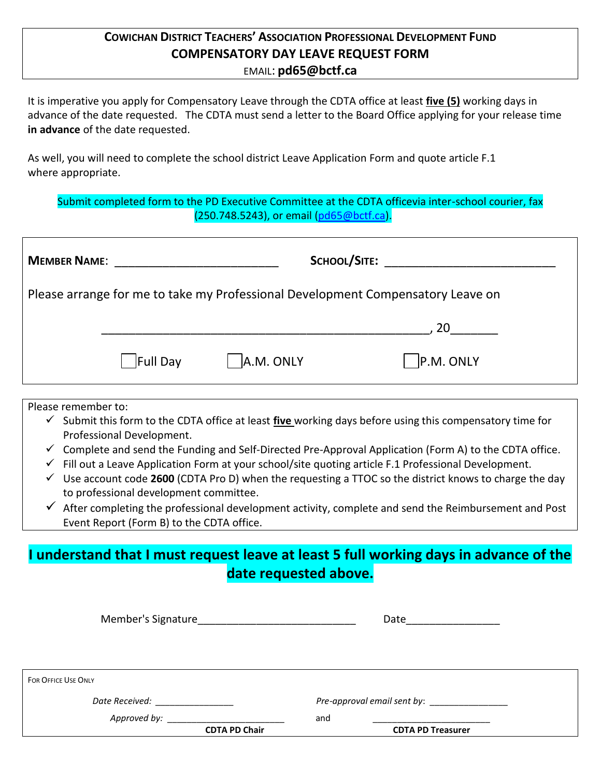### **COWICHAN DISTRICT TEACHERS' ASSOCIATION PROFESSIONAL DEVELOPMENT FUND COMPENSATORY DAY LEAVE REQUEST FORM** EMAIL: **pd65@bctf.ca**

It is imperative you apply for Compensatory Leave through the CDTA office at least **five (5)** working days in advance of the date requested. The CDTA must send a letter to the Board Office applying for your release time **in advance** of the date requested.

As well, you will need to complete the school district Leave Application Form and quote article F.1 where appropriate.

Submit completed form to the PD Executive Committee at the CDTA officevia inter-school courier, fax (250.748.5243), or email [\(pd65@bctf.ca\)](mailto:pd65@bctf.ca).

| <b>MEMBER NAME:</b>                                                             |                 |                   | SCHOOL/SITE: ____________________ |
|---------------------------------------------------------------------------------|-----------------|-------------------|-----------------------------------|
| Please arrange for me to take my Professional Development Compensatory Leave on |                 |                   |                                   |
|                                                                                 |                 |                   | .20                               |
|                                                                                 | <b>Full Day</b> | $\vert$ A.M. ONLY | P.M. ONLY                         |

Please remember to:

- ✓ Submit this form to the CDTA office at least **five** working days before using this compensatory time for Professional Development.
- $\checkmark$  Complete and send the Funding and Self-Directed Pre-Approval Application (Form A) to the CDTA office.
- ✓ Fill out a Leave Application Form at your school/site quoting article F.1 Professional Development.
- ✓ Use account code **2600** (CDTA Pro D) when the requesting a TTOC so the district knows to charge the day to professional development committee.
- $\checkmark$  After completing the professional development activity, complete and send the Reimbursement and Post Event Report (Form B) to the CDTA office.

## **I understand that I must request leave at least 5 full working days in advance of the date requested above.**

| Member's Signature         |                      | Date |                          |  |
|----------------------------|----------------------|------|--------------------------|--|
|                            |                      |      |                          |  |
|                            |                      |      |                          |  |
|                            |                      |      |                          |  |
| <b>FOR OFFICE USE ONLY</b> |                      |      |                          |  |
| Date Received:             |                      |      |                          |  |
| Approved by:               |                      | and  |                          |  |
|                            | <b>CDTA PD Chair</b> |      | <b>CDTA PD Treasurer</b> |  |